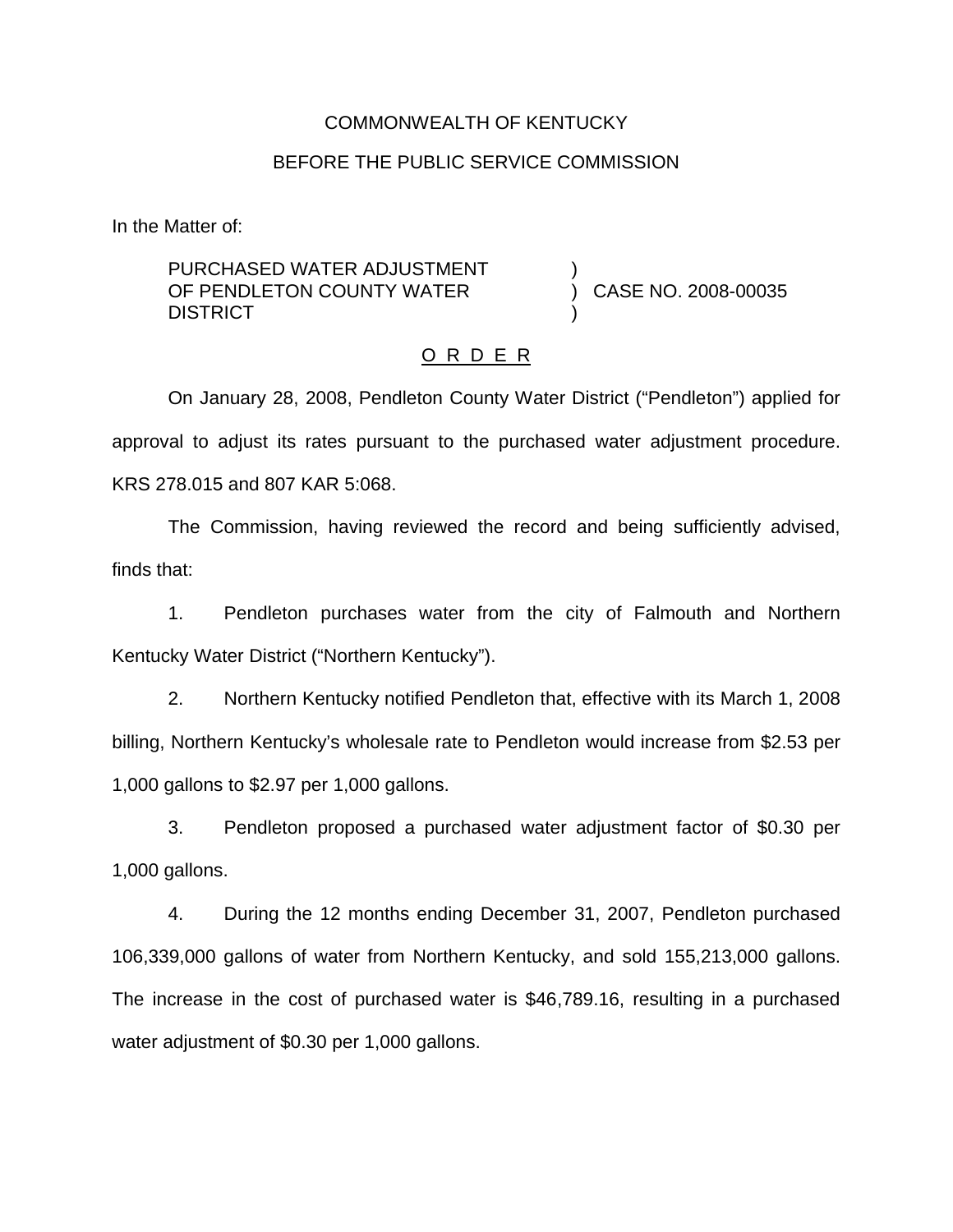### COMMONWEALTH OF KENTUCKY

#### BEFORE THE PUBLIC SERVICE COMMISSION

In the Matter of:

PURCHASED WATER ADJUSTMENT OF PENDLETON COUNTY WATER **DISTRICT** 

) CASE NO. 2008-00035

#### O R D E R

)

)

On January 28, 2008, Pendleton County Water District ("Pendleton") applied for approval to adjust its rates pursuant to the purchased water adjustment procedure. KRS 278.015 and 807 KAR 5:068.

The Commission, having reviewed the record and being sufficiently advised, finds that:

1. Pendleton purchases water from the city of Falmouth and Northern Kentucky Water District ("Northern Kentucky").

2. Northern Kentucky notified Pendleton that, effective with its March 1, 2008 billing, Northern Kentucky's wholesale rate to Pendleton would increase from \$2.53 per 1,000 gallons to \$2.97 per 1,000 gallons.

3. Pendleton proposed a purchased water adjustment factor of \$0.30 per 1,000 gallons.

4. During the 12 months ending December 31, 2007, Pendleton purchased 106,339,000 gallons of water from Northern Kentucky, and sold 155,213,000 gallons. The increase in the cost of purchased water is \$46,789.16, resulting in a purchased water adjustment of \$0.30 per 1,000 gallons.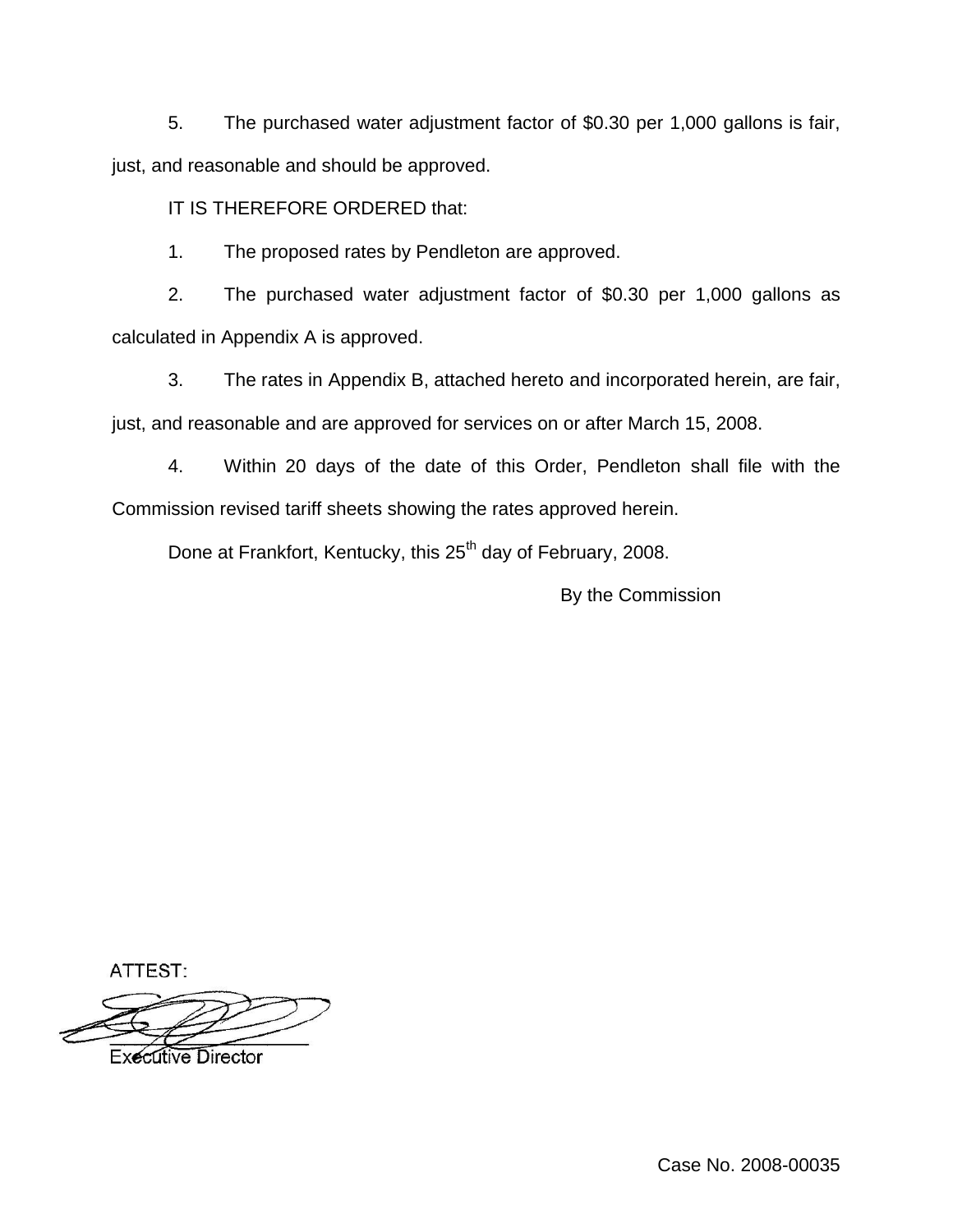5. The purchased water adjustment factor of \$0.30 per 1,000 gallons is fair, just, and reasonable and should be approved.

IT IS THEREFORE ORDERED that:

1. The proposed rates by Pendleton are approved.

2. The purchased water adjustment factor of \$0.30 per 1,000 gallons as calculated in Appendix A is approved.

3. The rates in Appendix B, attached hereto and incorporated herein, are fair, just, and reasonable and are approved for services on or after March 15, 2008.

4. Within 20 days of the date of this Order, Pendleton shall file with the Commission revised tariff sheets showing the rates approved herein.

Done at Frankfort, Kentucky, this 25<sup>th</sup> day of February, 2008.

By the Commission

ATTEST:

**Executive Director** 

Case No. 2008-00035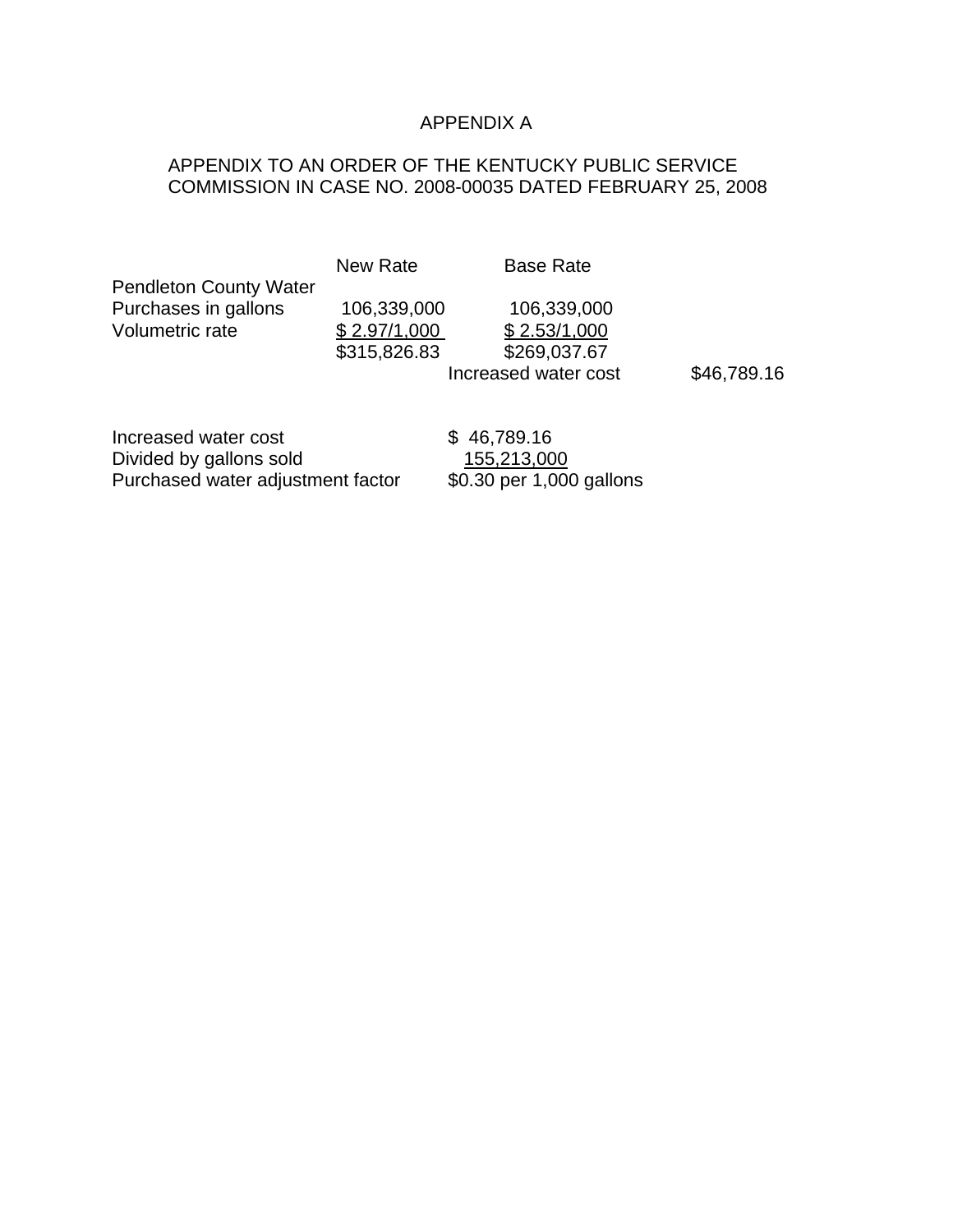# APPENDIX A

# APPENDIX TO AN ORDER OF THE KENTUCKY PUBLIC SERVICE COMMISSION IN CASE NO. 2008-00035 DATED FEBRUARY 25, 2008

|                               | <b>New Rate</b> | <b>Base Rate</b>     |             |
|-------------------------------|-----------------|----------------------|-------------|
| <b>Pendleton County Water</b> |                 |                      |             |
| Purchases in gallons          | 106,339,000     | 106,339,000          |             |
| Volumetric rate               | \$2.97/1,000    | \$2.53/1,000         |             |
|                               | \$315,826.83    | \$269,037.67         |             |
|                               |                 | Increased water cost | \$46,789.16 |
|                               |                 |                      |             |
| Increased water cost          |                 | 46,789.16            |             |

Divided by gallons sold 155,213,000 Purchased water adjustment factor \$0.30 per 1,000 gallons